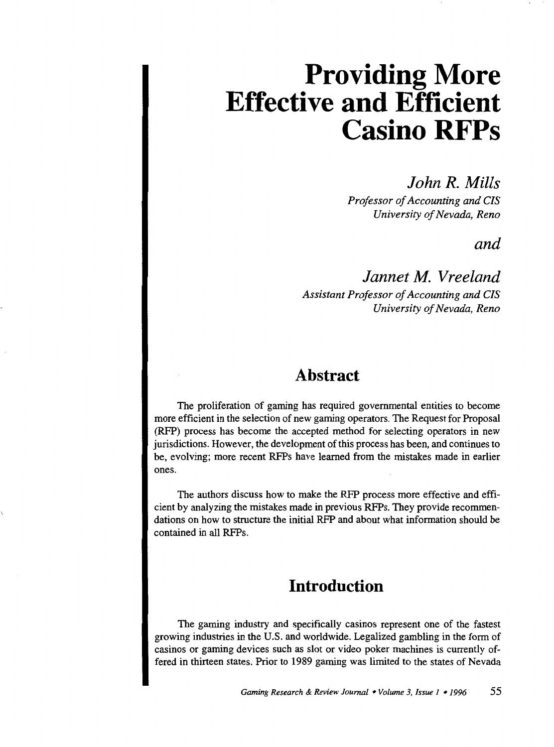*John R. Mills* 

*Professor of Accounting and CIS University of Nevada, Reno* 

*and* 

*Jannet M. Vreeland Assistant Professor of Accounting and CIS University of Nevada, Reno* 

### **Abstract**

The proliferation of gaming has required governmental entities to become more efficient in the selection of new gaming operators. The Request for Proposal (RFP) process has become the accepted method for selecting operators in new jurisdictions. However, the development of this process has been, and continues to be, evolving; more recent RFPs have learned from the mistakes made in earlier ones.

The authors discuss how to make the RFP process more effective and efficient by analyzing the mistakes made in previous RFPs. They provide recommendations on how to structure the initial RFP and about what information should be contained in all RFPs.

# **Introduction**

The gaming industry and specifically casinos represent one of the fastest growing industries in the U.S. and worldwide. Legalized gambling in the form of casinos or gaming devices such as slot or video poker machines is currently offered in thirteen states. Prior to 1989 gaming was limited to the states of Nevada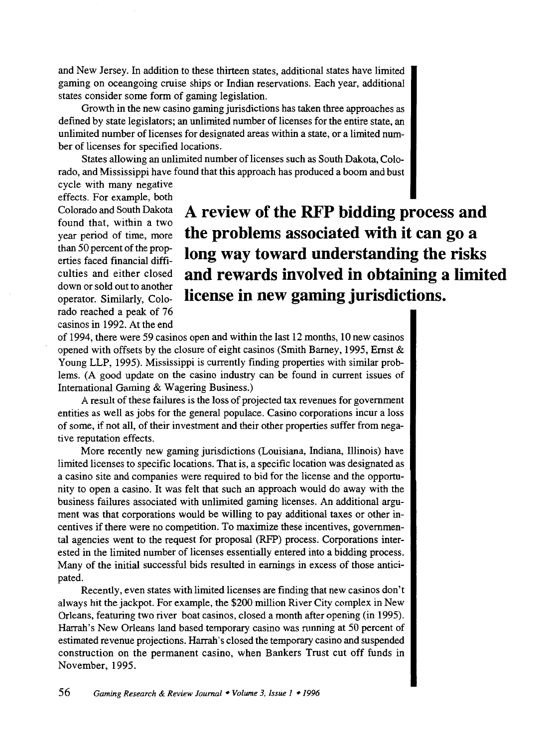and New Jersey. In addition to these thirteen states, additional states have limited gaming on oceangoing cruise ships or Indian reservations. Each year, additional states consider some form of gaming legislation.

Growth in the new casino gaming jurisdictions has taken three approaches as defined by state legislators; an unlimited number of licenses for the entire state, an unlimited number of licenses for designated areas within a state, or a limited number of licenses for specified locations.

States allowing an unlimited number of licenses such as South Dakota, Colorado, and Mississippi have found that this approach has produced a boom and bust

cycle with many negative effects. For example, both Colorado and South Dakota found that, within a two year period of time, more than 50 percent of the properties faced fmancial difficulties and either closed down or sold out to another operator. Similarly, Colorado reached a peak of 76 casinos in 1992. At the end

# **A review of the RFP bidding process and the problems associated with it can go a long way toward understanding the risks and rewards involved in obtaining a limited license in new gaming jurisdictions.**

of 1994, there were 59 casinos open and within the last 12 months, 10 new casinos opened with offsets by the closure of eight casinos (Smith Barney, 1995, Ernst & Young LLP, 1995). Mississippi is currently finding properties with similar problems. (A good update on the casino industry can be found in current issues of International Gaming & Wagering Business.)

A result of these failures is the loss of projected tax revenues for government entities as well as jobs for the general populace. Casino corporations incur a loss of some, if not all, of their investment and their other properties suffer from negative reputation effects.

More recently new gaming jurisdictions (Louisiana, Indiana, Illinois) have limited licenses to specific locations. That is, a specific location was designated as a casino site and companies were required to bid for the license and the opportunity to open a casino. It was felt that such an approach would do away with the business failures associated with unlimited gaming licenses. An additional argument was that corporations would be willing to pay additional taxes or other incentives if there were no competition. To maximize these incentives, governmental agencies went to the request for proposal (RFP) process. Corporations interested in the limited number of licenses essentially entered into a bidding process. Many of the initial successful bids resulted in earnings in excess of those anticipated.

Recently, even states with limited licenses are finding that new casinos don't always hit the jackpot. For example, the \$200 million River City complex in New Orleans, featuring two river boat casinos, closed a month after opening (in 1995). Harrah's New Orleans land based temporary casino was running at 50 percent of estimated revenue projections. Harrah's closed the temporary casino and suspended construction on the permanent casino, when Bankers Trust cut off funds in November, 1995.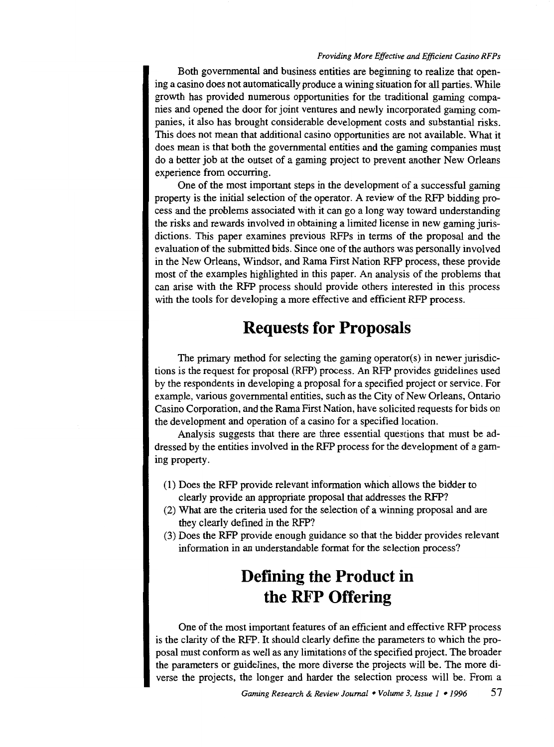Both governmental and business entities are beginning to realize that opening a casino does not automatically produce a wining situation for all parties. While growth has provided numerous opportunities for the traditional gaming companies and opened the door for joint ventures and newly incorporated gaming companies, it also has brought considerable development costs and substantial risks. This does not mean that additional casino opportunities are not available. What it does mean is that both the governmental entities and the gaming companies must do a better job at the outset of a gaming project to prevent another New Orleans experience from occurring.

One of the most important steps in the development of a successful gaming property is the initial selection of the operator. A review of the RFP bidding process and the problems associated with it can go a long way toward understanding the risks and rewards involved in obtaining a limited license in new gaming jurisdictions. This paper examines previous RFPs in terms of the proposal and the evaluation of the submitted bids. Since one of the authors was personally involved in the New Orleans, Windsor, and Rama First Nation RFP process, these provide most of the examples highlighted in this paper. An analysis of the problems that can arise with the RFP process should provide others interested in this process with the tools for developing a more effective and efficient RFP process.

## **Requests for Proposals**

The primary method for selecting the gaming operator(s) in newer jurisdictions is the request for proposal (RFP) process. An RFP provides guidelines used by the respondents in developing a proposal for a specified project or service. For example, various governmental entities, such as the City of New Orleans, Ontario Casino Corporation, and the Rama First Nation, have solicited requests for bids on the development and operation of a casino for a specified location.

Analysis suggests that there are three essential questions that must be addressed by the entities involved in the RFP process for the development of a gaming property.

- (1) Does the RFP provide relevant information which allows the bidder to clearly provide an appropriate proposal that addresses the RFP?
- (2) What are the criteria used for the selection of a winning proposal and are they clearly defined in the RFP?
- (3) Does the RFP provide enough guidance so that the bidder provides relevant information in an understandable format for the selection process?

# **Defining the Product in the RFP Offering**

One of the most important features of an efficient and effective RFP process is the clarity of the RFP. It should clearly define the parameters to which the proposal must conform as well as any limitations of the specified project. The broader the parameters or guidelines, the more diverse the projects will be. The more diverse the projects, the longer and harder the selection process will be. From a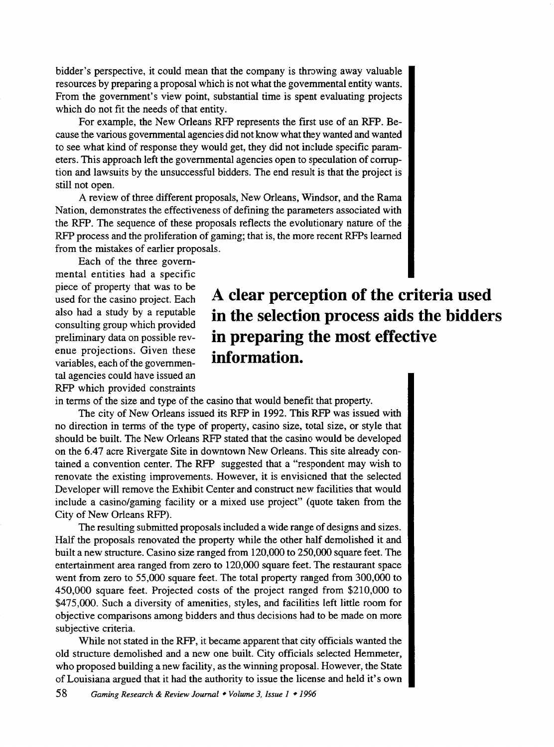bidder's perspective, it could mean that the company is throwing away valuable resources by preparing a proposal which is not what the governmental entity wants. From the government's view point, substantial time is spent evaluating projects which do not fit the needs of that entity.

For example, the New Orleans RFP represents the first use of an RFP. Because the various governmental agencies did not know what they wanted and wanted to see what kind of response they would get, they did not include specific parameters. This approach left the governmental agencies open to speculation of corruption and lawsuits by the unsuccessful bidders. The end result is that the project is still not open.

A review of three different proposals, New Orleans, Windsor, and the Rama Nation, demonstrates the effectiveness of defining the parameters associated with the RFP. The sequence of these proposals reflects the evolutionary nature of the RFP process and the proliferation of gaming; that is, the more recent RFPs learned from the mistakes of earlier proposals.

Each of the three governmental entities had a specific piece of property that was to be used for the casino project. Each also had a study by a reputable consulting group which provided preliminary data on possible revenue projections. Given these variables, each of the governmental agencies could have issued an RFP which provided constraints

# **A clear perception of the criteria used in the selection process aids the bidders in preparing the most effective information.**

in terms of the size and type of the casino that would benefit that property.

The city of New Orleans issued its RFP in 1992. This RFP was issued with no direction in terms of the type of property, casino size, total size, or style that should be built. The New Orleans RFP stated that the casino would be developed on the 6.47 acre Rivergate Site in downtown New Orleans. This site already contained a convention center. The RFP suggested that a "respondent may wish to renovate the existing improvements. However, it is envisioned that the selected Developer will remove the Exhibit Center and construct new facilities that would include a casino/gaming facility or a mixed use project" (quote taken from the City of New Orleans RFP).

The resulting submitted proposals included a wide range of designs and sizes. Half the proposals renovated the property while the other half demolished it and built a new structure. Casino size ranged from 120,000 to 250,000 square feet. The entertainment area ranged from zero to 120,000 square feet. The restaurant space went from zero to 55,000 square feet. The total property ranged from 300,000 to 450,000 square feet. Projected costs of the project ranged from \$210,000 to \$475,000. Such a diversity of amenities, styles, and facilities left little room for objective comparisons among bidders and thus decisions had to be made on more subjective criteria.

While not stated in the RFP, it became apparent that city officials wanted the old structure demolished and a new one built. City officials selected Hemmeter, who proposed building a new facility, as the winning proposal. However, the State of Louisiana argued that it had the authority to issue the license and held it's own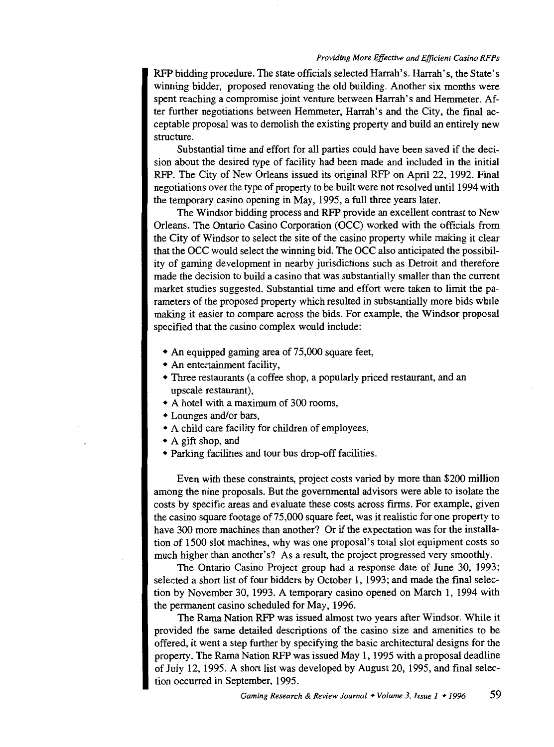RFP bidding procedure. The state officials selected Harrah's. Harrah's, the State's winning bidder, proposed renovating the old building. Another six months were spent reaching a compromise joint venture between Harrah's and Hemmeter. After further negotiations between Hemrneter, Harrah's and the City, the final acceptable proposal was to demolish the existing property and build an entirely new structure.

Substantial time and effort for all parties could have been saved if the decision about the desired type of facility had been made and included in the initial RFP. The City of New Orleans issued its original RFP on April 22, 1992. Final negotiations over the type of property to be built were not resolved until 1994 with the temporary casino opening in May, 1995, a full three years later.

The Windsor bidding process and RFP provide an excellent contrast to New Orleans. The Ontario Casino Corporation (OCC) worked with the officials from the City of Windsor to select the site of the casino property while making it clear that the OCC would select the winning bid. The OCC also anticipated the possibility of gaming development in nearby jurisdictions such as Detroit and therefore made the decision to build a casino that was substantially smaller than the current market studies suggested. Substantial time and effort were taken to limit the parameters of the proposed property which resulted in substantially more bids while making it easier to compare across the bids. For example, the Windsor proposal specified that the casino complex would include:

- An equipped gaming area of 75,000 square feet,
- An entertainment facility,
- Three restaurants (a coffee shop, a popularly priced restaurant, and an upscale restaurant),
- A hotel with a maximum of 300 rooms,
- Lounges and/or bars,
- A child care facility for children of employees,
- A gift shop, and
- Parking facilities and tour bus drop-off facilities.

Even with these constraints, project costs varied by more than \$200 million among the nine proposals. But the governmental advisors were able to isolate the costs by specific areas and evaluate these costs across firms. For example, given the casino square footage of75,000 square feet, was it realistic for one property to have 300 more machines than another? Or if the expectation was for the installation of 1500 slot machines, why was one proposal's total slot equipment costs so much higher than another's? As a result, the project progressed very smoothly.

The Ontario Casino Project group had a response date of June 30, 1993; selected a short list of four bidders by October 1, 1993; and made the final selection by November 30, 1993. A temporary casino opened on March 1, 1994 with the permanent casino scheduled for May, 1996.

The Rama Nation RFP was issued almost two years after Windsor. While it provided the same detailed descriptions of the casino size and amenities to be offered, it went a step further by specifying the basic architectural designs for the property. The Rama Nation RFP was issued May 1, 1995 with a proposal deadline of July 12, 1995. A short list was developed by August 20, 1995, and final selection occurred in September, 1995.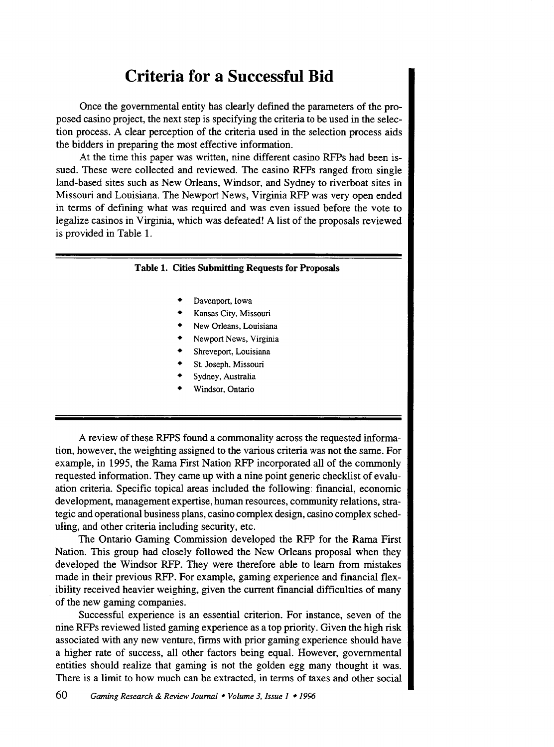## **Criteria for a Successful Bid**

Once the governmental entity has clearly defined the parameters of the proposed casino project, the next step is specifying the criteria to be used in the selection process. A clear perception of the criteria used in the selection process aids the bidders in preparing the most effective information.

At the time this paper was written, nine different casino RFPs had been issued. These were collected and reviewed. The casino RFPs ranged from single land-based sites such as New Orleans, Windsor, and Sydney to riverboat sites in Missouri and Louisiana. The Newport News, Virginia RFP was very open ended in terms of defining what was required and was even issued before the vote to legalize casinos in Virginia, which was defeated! A list of the proposals reviewed is provided in Table 1.

#### Table 1. Cities Submitting Requests for Proposals

- Davenport, Iowa
- Kansas City, Missouri
- New Orleans, Louisiana
- Newport News, Virginia
- Shreveport, Louisiana
- St. Joseph, Missouri
- Sydney, Australia
- Windsor, Ontario

A review of these RFPS found a commonality across the requested information, however, the weighting assigned to the various criteria was not the same. For example, in 1995, the Rama First Nation RFP incorporated all of the commonly requested information. They came up with a nine point generic checklist of evaluation criteria. Specific topical areas included the following: financial, economic development, management expertise, human resources, community relations, strategic and operational business plans, casino complex design, casino complex scheduling, and other criteria including security, etc.

The Ontario Gaming Commission developed the RFP for the Rama First Nation. This group had closely followed the New Orleans proposal when they developed the Windsor RFP. They were therefore able to learn from mistakes made in their previous RFP. For example, gaming experience and financial flex- . ibility received heavier weighing, given the current financial difficulties of many of the new gaming companies.

Successful experience is an essential criterion. For instance, seven of the nine RFPs reviewed listed gaming experience as a top priority. Given the high risk associated with any new venture, firms with prior gaming experience should have a higher rate of success, all other factors being equal. However, governmental entities should realize that gaming is not the golden egg many thought it was. There is a limit to how much can be extracted, in terms of taxes and other social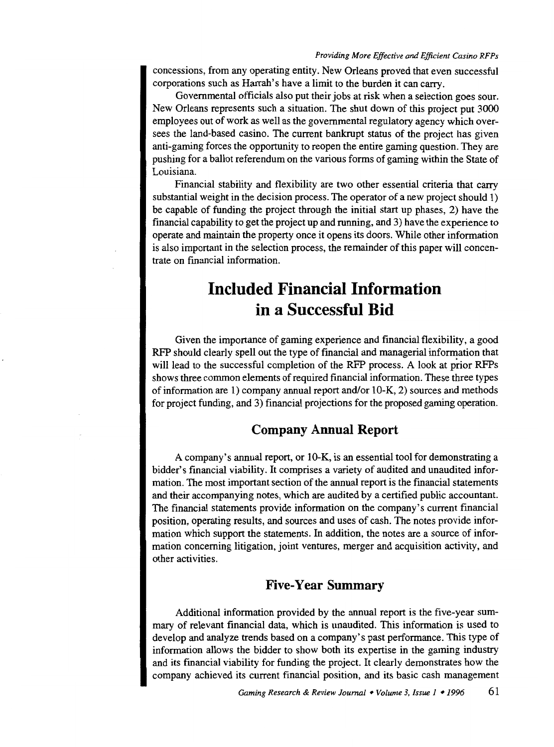concessions, from any operating entity. New Orleans proved that even successful corporations such as Harrah's have a limit to the burden it can carry.

Governmental officials also put their jobs at risk when a selection goes sour. New Orleans represents such a situation. The shut down of this project put 3000 employees out of work as well as the governmental regulatory agency which oversees the land-based casino. The current bankrupt status of the project has given anti-gaming forces the opportunity to reopen the entire gaming question. They are pushing for a ballot referendum on the various forms of gaming within the State of Louisiana.

Financial stability and flexibility are two other essential criteria that carry substantial weight in the decision process. The operator of a new project should 1) be capable of funding the project through the initial start up phases, 2) have the financial capability to get the project up and running, and 3) have the experience to operate and maintain the property once it opens its doors. While other information is also important in the selection process, the remainder of this paper will concentrate on fmancial information.

# **Included Financial Information in a Successful Bid**

Given the importance of gaming experience and financial flexibility, a good RFP should clearly spell out the type of financial and managerial information that will lead to the successful completion of the RFP process. A look at prior RFPs shows three common elements of required financial information. These three types of information are 1) company annual report and/or 10-K, 2) sources and methods for project funding, and 3) financial projections for the proposed gaming operation.

#### **Company Annual Report**

A company's annual report, or 10-K, is an essential tool for demonstrating a bidder's financial viability. It comprises a variety of audited and unaudited information. The most important section of the annual report is the fmancial statements and their accompanying notes, which are audited by a certified public accountant. The financial statements provide information on the company's current financial position, operating results, and sources and uses of cash. The notes provide information which support the statements. In addition, the notes are a source of information concerning litigation, joint ventures, merger and acquisition activity, and other activities.

#### **Five-Year Summary**

Additional information provided by the annual report is the five-year summary of relevant financial data, which is unaudited. This information is used to develop and analyze trends based on a company's past performance. This type of information allows the bidder to show both its expertise in the gaming industry and its financial viability for funding the project. It clearly demonstrates how the company achieved its current financial position, and its basic cash management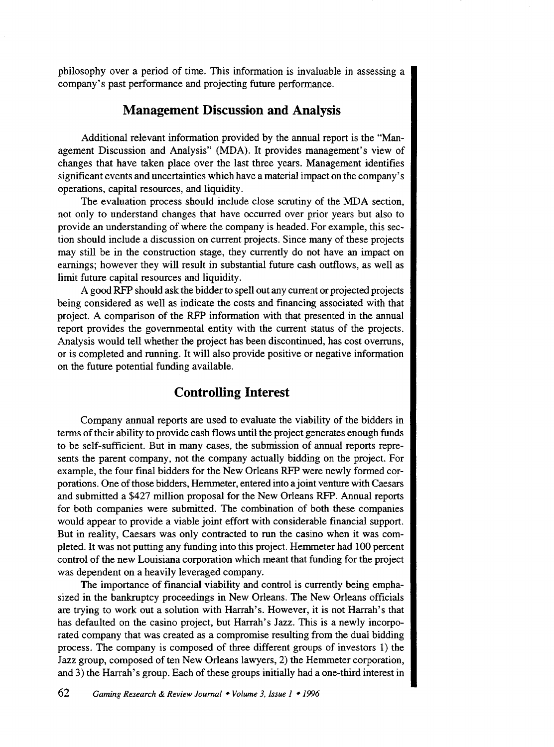philosophy over a period of time. This information is invaluable in assessing a company's past performance and projecting future performance.

#### **Management Discussion and Analysis**

Additional relevant information provided by the annual report is the "Management Discussion and Analysis" (MDA). It provides management's view of changes that have taken place over the last three years. Management identifies significant events and uncertainties which have a material impact on the company's operations, capital resources, and liquidity.

The evaluation process should include close scrutiny of the MDA section, not only to understand changes that have occurred over prior years but also to provide an understanding of where the company is headed. For example, this section should include a discussion on current projects. Since many of these projects may still be in the construction stage, they currently do not have an impact on earnings; however they will result in substantial future cash outflows, as well as limit future capital resources and liquidity.

A good RFP should ask the bidder to spell out any current or projected projects being considered as well as indicate the costs and financing associated with that project. A comparison of the RFP information with that presented in the annual report provides the governmental entity with the current status of the projects. Analysis would tell whether the project has been discontinued, has cost overruns, or is completed and running. It will also provide positive or negative information on the future potential funding available.

### **Controlling Interest**

Company annual reports are used to evaluate the viability of the bidders in terms of their ability to provide cash flows until the project generates enough funds to be self-sufficient. But in many cases, the submission of annual reports represents the parent company, not the company actually bidding on the project. For example, the four final bidders for the New Orleans RFP were newly formed corporations. One of those bidders, Hemmeter, entered into a joint venture with Caesars and submitted a \$427 million proposal for the New Orleans RFP. Annual reports for both companies were submitted. The combination of both these companies would appear to provide a viable joint effort with considerable financial support. But in reality, Caesars was only contracted to run the casino when it was completed. It was not putting any funding into this project. Hemmeter had 100 percent control of the new Louisiana corporation which meant that funding for the project was dependent on a heavily leveraged company.

The importance of financial viability and control is currently being emphasized in the bankruptcy proceedings in New Orleans. The New Orleans officials are trying to work out a solution with Harrah's. However, it is not Harrah's that has defaulted on the casino project, but Harrah's Jazz. This is a newly incorporated company that was created as a compromise resulting from the dual bidding process. The company is composed of three different groups of investors 1) the Jazz group, composed of ten New Orleans lawyers, 2) the Hemmeter corporation, and 3) the Harrah's group. Each of these groups initially had a one-third interest in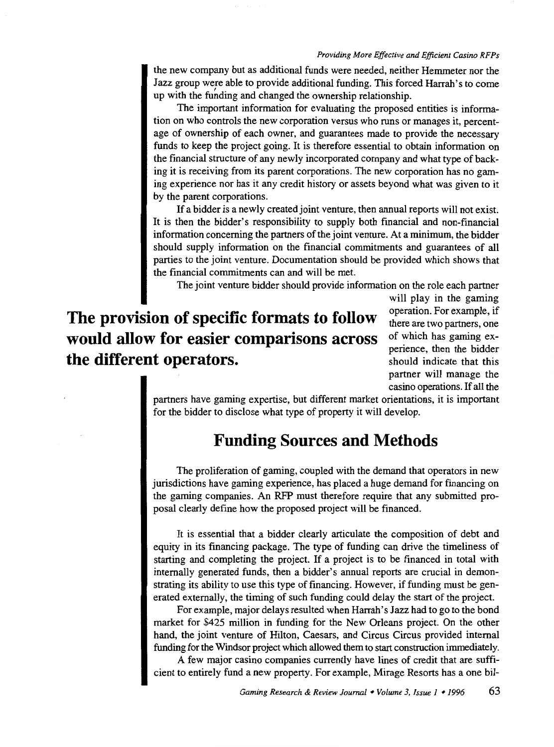the new company but as additional funds were needed, neither Hemmeter nor the Jazz group were able to provide additional funding. This forced Harrah's to come up with the funding and changed the ownership relationship.

The important information for evaluating the proposed entities is information on who controls the new corporation versus who runs or manages it, percentage of ownership of each owner, and guarantees made to provide the necessary funds to keep the project going. It is therefore essential to obtain information on the financial structure of any newly incorporated company and what type of backing it is receiving from its parent corporations. The new corporation has no gaming experience nor has it any credit history or assets beyond what was given to it by the parent corporations.

If a bidder is a newly created joint venture, then annual reports will not exist. It is then the bidder's responsibility to supply both financial and non-financial information concerning the partners of the joint venture. At a minimum, the bidder should supply information on the financial commitments and guarantees of all parties to the joint venture. Documentation should be provided which shows that the financial commitments can and will be met.

The joint venture bidder should provide information on the role each partner

**The provision of specific formats to follow would allow for easier comparisons across the different operators.** 

will play in the gaming operation. For example, if there are two partners, one of which has gaming experience, then the bidder should indicate that this partner will manage the casino operations. If all the

partners have gaming expertise, but different market orientations, it is important for the bidder to disclose what type of property it will develop.

### **Funding Sources and Methods**

The proliferation of gaming, coupled with the demand that operators in new jurisdictions have gaming experience, has placed a huge demand for financing on the gaming companies. An RFP must therefore require that any submitted proposal clearly defme how the proposed project will be financed.

It is essential that a bidder clearly articulate the composition of debt and equity in its financing package. The type of funding can drive the timeliness of starting and completing the project. If a project is to be financed in total with internally generated funds, then a bidder's annual reports are crucial in demonstrating its ability to use this type of financing. However, if funding must be generated externally, the timing of such funding could delay the start of the project.

For example, major delays resulted when Harrah's Jazz had to go to the bond market for \$425 million in funding for the New Orleans project. On the other hand, the joint venture of Hilton, Caesars, and Circus Circus provided internal funding for the Windsor project which allowed them to start construction immediately.

A few major casino companies currently have lines of credit that are sufficient to entirely fund a new property. For example, Mirage Resorts has a one bil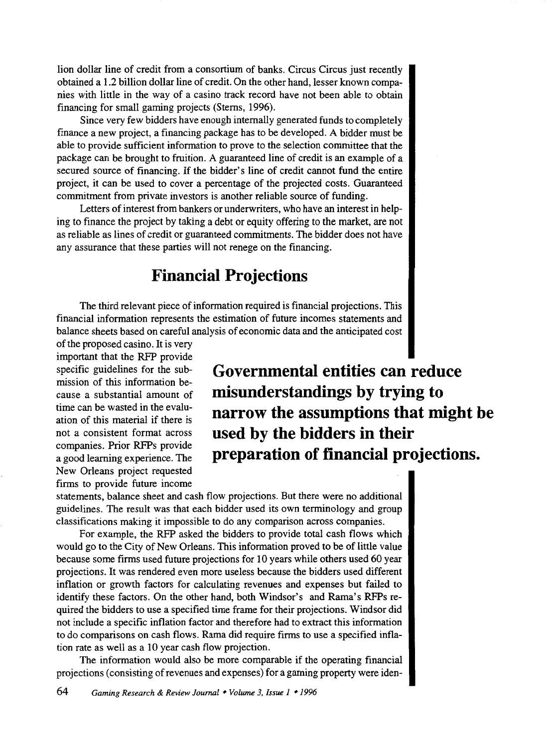lion dollar line of credit from a consortium of banks. Circus Circus just recently obtained a 1.2 billion dollar line of credit. On the other hand, lesser known companies with little in the way of a casino track record have not been able to obtain financing for small gaming projects (Stems, 1996).

Since very few bidders have enough internally generated funds to completely finance a new project, a financing package has to be developed. A bidder must be able to provide sufficient information to prove to the selection committee that the package can be brought to fruition. A guaranteed line of credit is an example of a secured source of financing. If the bidder's line of credit cannot fund the entire project, it can be used to cover a percentage of the projected costs. Guaranteed commitment from private investors is another reliable source of funding.

Letters of interest from bankers or underwriters, who have an interest in helping to fmance the project by taking a debt or equity offering to the market, are not as reliable as lines of credit or guaranteed commitments. The bidder does not have any assurance that these parties will not renege on the financing.

### **Financial Projections**

The third relevant piece of information required is financial projections. This financial information represents the estimation of future incomes statements and balance sheets based on careful analysis of economic data and the anticipated cost

of the proposed casino. It is very important that the RFP provide specific guidelines for the submission of this information because a substantial amount of time can be wasted in the evaluation of this material if there is not a consistent format across companies. Prior RFPs provide a good learning experience. The New Orleans project requested firms to provide future income

**Governmental entities can reduce misunderstandings by trying to narrow the assumptions that might be used by the bidders in their preparation of financial projections.** 

statements, balance sheet and cash flow projections. But there were no additional guidelines. The result was that each bidder used its own terminology and group classifications making it impossible to do any comparison across companies.

For example, the RFP asked the bidders to provide total cash flows which would go to the City of New Orleans. This information proved to be of little value because some firms used future projections for 10 years while others used 60 year projections. It was rendered even more useless because the bidders used different inflation or growth factors for calculating revenues and expenses but failed to identify these factors. On the other hand, both Windsor's and Rama's RFPs required the bidders to use a specified time frame for their projections. Windsor did not include a specific inflation factor and therefore had to extract this information to do comparisons on cash flows. Rama did require firms to use a specified inflation rate as well as a 10 year cash flow projection.

The information would also be more comparable if the operating financial projections (consisting of revenues and expenses) for a gaming property were iden-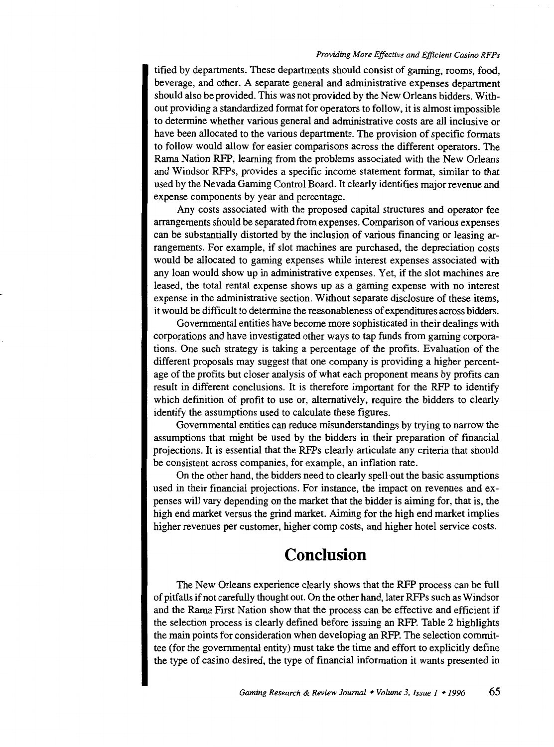tified by departments. These departments should consist of gaming, rooms, food, beverage, and other. A separate general and administrative expenses department should also be provided. This was not provided by the New Orleans bidders. Without providing a standardized format for operators to follow, it is almost impossible to determine whether various general and administrative costs are all inclusive or have been allocated to the various departments. The provision of specific formats to follow would allow for easier comparisons across the different operators. The Rama Nation RFP, learning from the problems associated with the New Orleans and Windsor RFPs, provides a specific income statement format, similar to that used by the Nevada Gaming Control Board. It clearly identifies major revenue and expense components by year and percentage.

Any costs associated with the proposed capital structures and operator fee arrangements should be separated from expenses. Comparison of various expenses can be substantially distorted by the inclusion of various financing or leasing arrangements. For example, if slot machines are purchased, the depreciation costs would be allocated to gaming expenses while interest expenses associated with any loan would show up in administrative expenses. Yet, if the slot machines are leased, the total rental expense shows up as a gaming expense with no interest expense in the administrative section. Without separate disclosure of these items, it would be difficult to determine the reasonableness of expenditures across bidders.

Governmental entities have become more sophisticated in their dealings with corporations and have investigated other ways to tap funds from gaming corporations. One such strategy is taking a percentage of the profits. Evaluation of the different proposals may suggest that one company is providing a higher percentage of the profits but closer analysis of what each proponent means by profits can result in different conclusions. It is therefore important for the RFP to identify which definition of profit to use or, alternatively, require the bidders to clearly identify the assumptions used to calculate these figures.

Governmental entities can reduce misunderstandings by trying to narrow the assumptions that might be used by the bidders in their preparation of financial projections. It is essential that the RFPs clearly articulate any criteria that should be consistent across companies, for example, an inflation rate.

On the other hand, the bidders need to clearly spell out the basic assumptions used in their financial projections. For instance, the impact on revenues and expenses will vary depending on the market that the bidder is aiming for, that is, the high end market versus the grind market. Aiming for the high end market implies higher revenues per customer, higher comp costs, and higher hotel service costs.

### **Conclusion**

The New Orleans experience clearly shows that the RFP process can be full of pitfalls if not carefully thought out. On the other hand, later RFPs such as Windsor and the Rama First Nation show that the process can be effective and efficient if the selection process is clearly defined before issuing an RFP. Table 2 highlights the main points for consideration when developing an RFP. The selection committee (for the governmental entity) must take the time and effort to explicitly define the type of casino desired, the type of financial information it wants presented in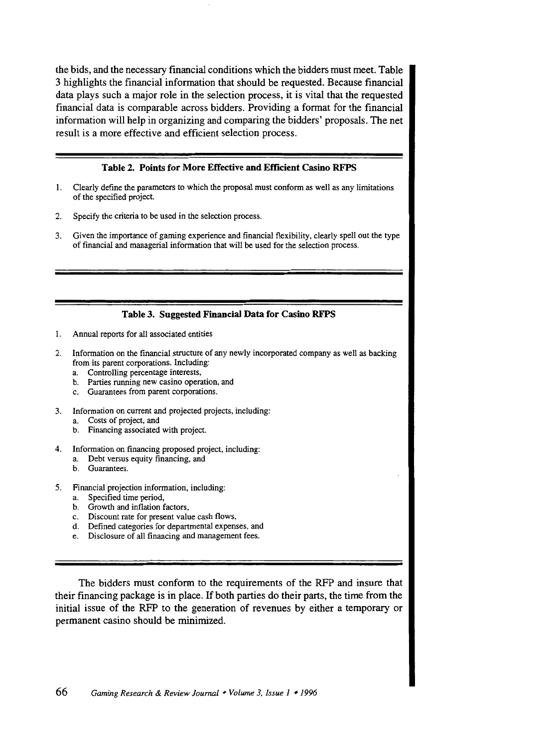the bids, and the necessary financial conditions which the bidders must meet. Table 3 highlights the financial information that should be requested. Because financial data plays such a major role in the selection process, it is vital that the requested financial data is comparable across bidders. Providing a format for the financial information will help in organizing and comparing the bidders' proposals. The net result is a more effective and efficient selection process.

#### Table 2. Points for More Effective and Efficient Casino RFPS

- 1. Clearly define the parameters to which the proposal must conform as well as any limitations of the specified project.
- 2. Specify the criteria to be used in the selection process.
- 3. Given the importance of gaming experience and financial flexibility, clearly spell out the type of financial and managerial information that will be used for the selection process.

#### Table 3. Suggested Financial Data for Casino RFPS

- 1. Annual reports for all associated entities
- 2. Information on the financial structure of any newly incorporated company as well as backing from its parent corporations. Including:
	- a. Controlling percentage interests,
	- b. Parties running new casino operation, and
	- c. Guarantees from parent corporations.
- 3. Information on current and projected projects, including:
	- a. Costs of project, and
	- b. Financing associated with project.
- 4. Information on financing proposed project, including:
	- a. Debt versus equity financing, and
	- b. Guarantees.
- 5. Financial projection information, including:
	- a. Specified time period,
	- b. Growth and inflation factors,
	- c. Discount rate for present value cash flows,
	- d. Defined categories for departmental expenses, and
	- e. Disclosure of all financing and management fees.

The bidders must conform to the requirements of the RFP and insure that their fmancing package is in place. If both parties do their parts, the time from the initial issue of the RFP to the generation of revenues by either a temporary or permanent casino should be minimized.